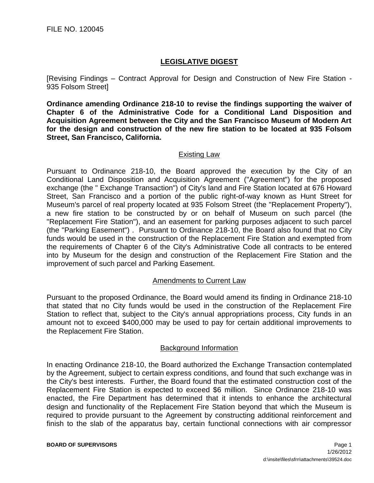# **LEGISLATIVE DIGEST**

[Revising Findings – Contract Approval for Design and Construction of New Fire Station - 935 Folsom Street]

**Ordinance amending Ordinance 218-10 to revise the findings supporting the waiver of Chapter 6 of the Administrative Code for a Conditional Land Disposition and Acquisition Agreement between the City and the San Francisco Museum of Modern Art for the design and construction of the new fire station to be located at 935 Folsom Street, San Francisco, California.**

## Existing Law

Pursuant to Ordinance 218-10, the Board approved the execution by the City of an Conditional Land Disposition and Acquisition Agreement ("Agreement") for the proposed exchange (the " Exchange Transaction") of City's land and Fire Station located at 676 Howard Street, San Francisco and a portion of the public right-of-way known as Hunt Street for Museum's parcel of real property located at 935 Folsom Street (the "Replacement Property"), a new fire station to be constructed by or on behalf of Museum on such parcel (the "Replacement Fire Station"), and an easement for parking purposes adjacent to such parcel (the "Parking Easement") . Pursuant to Ordinance 218-10, the Board also found that no City funds would be used in the construction of the Replacement Fire Station and exempted from the requirements of Chapter 6 of the City's Administrative Code all contracts to be entered into by Museum for the design and construction of the Replacement Fire Station and the improvement of such parcel and Parking Easement.

## Amendments to Current Law

Pursuant to the proposed Ordinance, the Board would amend its finding in Ordinance 218-10 that stated that no City funds would be used in the construction of the Replacement Fire Station to reflect that, subject to the City's annual appropriations process, City funds in an amount not to exceed \$400,000 may be used to pay for certain additional improvements to the Replacement Fire Station.

## Background Information

In enacting Ordinance 218-10, the Board authorized the Exchange Transaction contemplated by the Agreement, subject to certain express conditions, and found that such exchange was in the City's best interests. Further, the Board found that the estimated construction cost of the Replacement Fire Station is expected to exceed \$6 million. Since Ordinance 218-10 was enacted, the Fire Department has determined that it intends to enhance the architectural design and functionality of the Replacement Fire Station beyond that which the Museum is required to provide pursuant to the Agreement by constructing additional reinforcement and finish to the slab of the apparatus bay, certain functional connections with air compressor